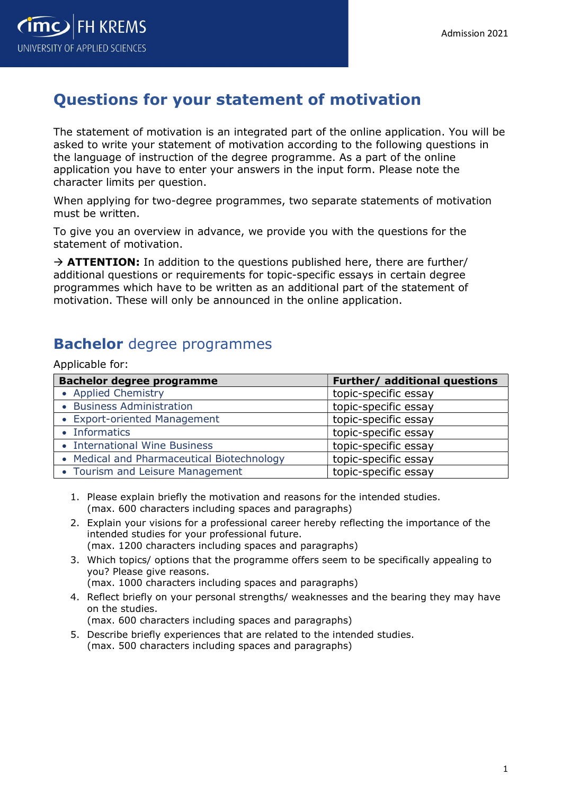

## Questions for your statement of motivation

The statement of motivation is an integrated part of the online application. You will be asked to write your statement of motivation according to the following questions in the language of instruction of the degree programme. As a part of the online application you have to enter your answers in the input form. Please note the character limits per question.

When applying for two-degree programmes, two separate statements of motivation must be written.

To give you an overview in advance, we provide you with the questions for the statement of motivation.

 $\rightarrow$  ATTENTION: In addition to the questions published here, there are further/ additional questions or requirements for topic-specific essays in certain degree programmes which have to be written as an additional part of the statement of motivation. These will only be announced in the online application.

## Bachelor degree programmes

Applicable for:

| <b>Bachelor degree programme</b>           | Further/ additional questions |
|--------------------------------------------|-------------------------------|
| • Applied Chemistry                        | topic-specific essay          |
| • Business Administration                  | topic-specific essay          |
| • Export-oriented Management               | topic-specific essay          |
| • Informatics                              | topic-specific essay          |
| • International Wine Business              | topic-specific essay          |
| • Medical and Pharmaceutical Biotechnology | topic-specific essay          |
| • Tourism and Leisure Management           | topic-specific essay          |

- 1. Please explain briefly the motivation and reasons for the intended studies. (max. 600 characters including spaces and paragraphs)
- 2. Explain your visions for a professional career hereby reflecting the importance of the intended studies for your professional future. (max. 1200 characters including spaces and paragraphs)
- 3. Which topics/ options that the programme offers seem to be specifically appealing to you? Please give reasons.

(max. 1000 characters including spaces and paragraphs)

4. Reflect briefly on your personal strengths/ weaknesses and the bearing they may have on the studies.

(max. 600 characters including spaces and paragraphs)

5. Describe briefly experiences that are related to the intended studies. (max. 500 characters including spaces and paragraphs)